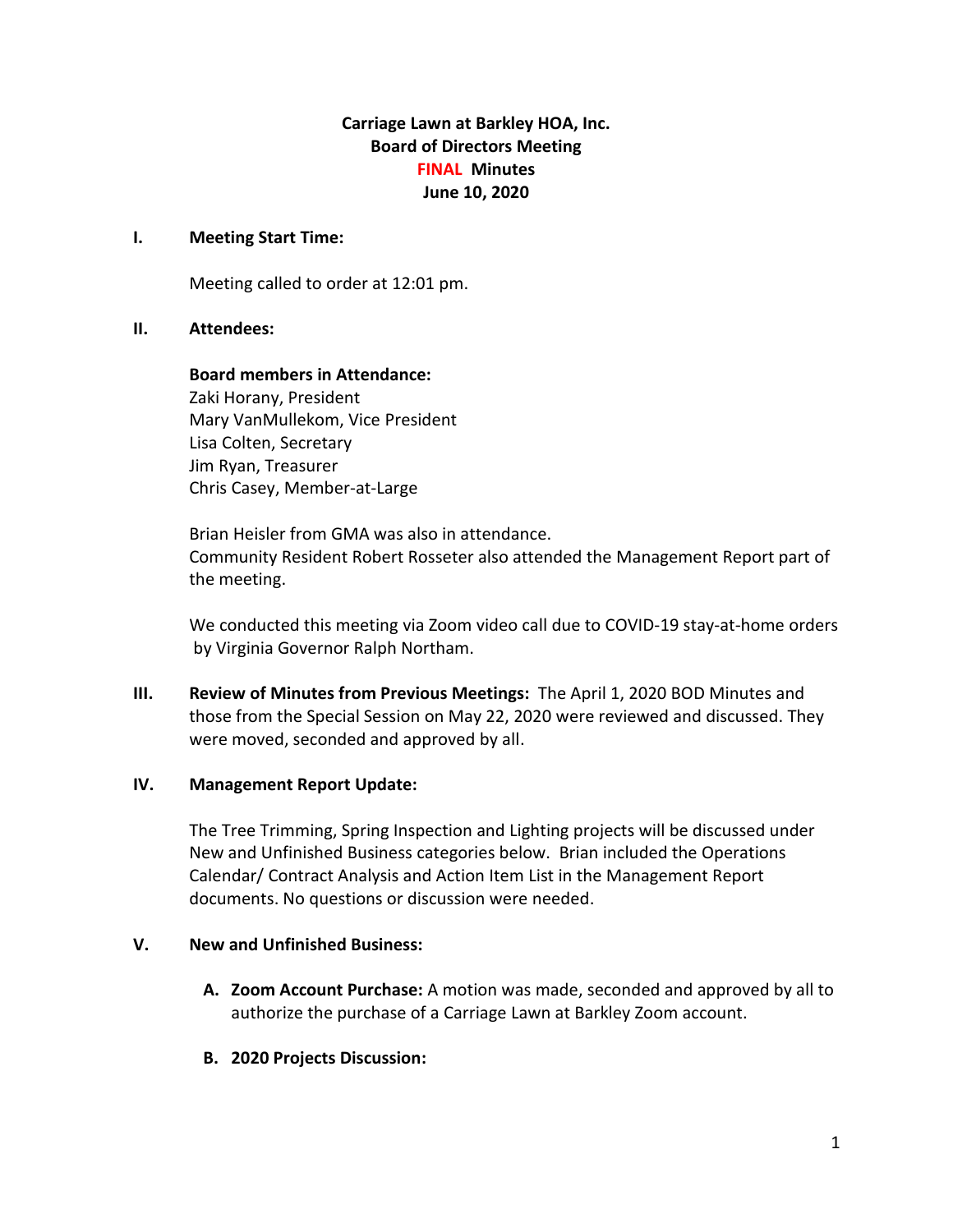**Carriage Lawn at Barkley HOA, Inc. Board of Directors Meeting FINAL Minutes June 10, 2020**

### **I. Meeting Start Time:**

Meeting called to order at 12:01 pm.

# **II. Attendees:**

**Board members in Attendance:** Zaki Horany, President Mary VanMullekom, Vice President Lisa Colten, Secretary Jim Ryan, Treasurer Chris Casey, Member-at-Large

Brian Heisler from GMA was also in attendance. Community Resident Robert Rosseter also attended the Management Report part of the meeting.

We conducted this meeting via Zoom video call due to COVID-19 stay-at-home orders by Virginia Governor Ralph Northam.

**III. Review of Minutes from Previous Meetings:** The April 1, 2020 BOD Minutes and those from the Special Session on May 22, 2020 were reviewed and discussed. They were moved, seconded and approved by all.

# **IV. Management Report Update:**

The Tree Trimming, Spring Inspection and Lighting projects will be discussed under New and Unfinished Business categories below. Brian included the Operations Calendar/ Contract Analysis and Action Item List in the Management Report documents. No questions or discussion were needed.

# **V. New and Unfinished Business:**

- **A. Zoom Account Purchase:** A motion was made, seconded and approved by all to authorize the purchase of a Carriage Lawn at Barkley Zoom account.
- **B. 2020 Projects Discussion:**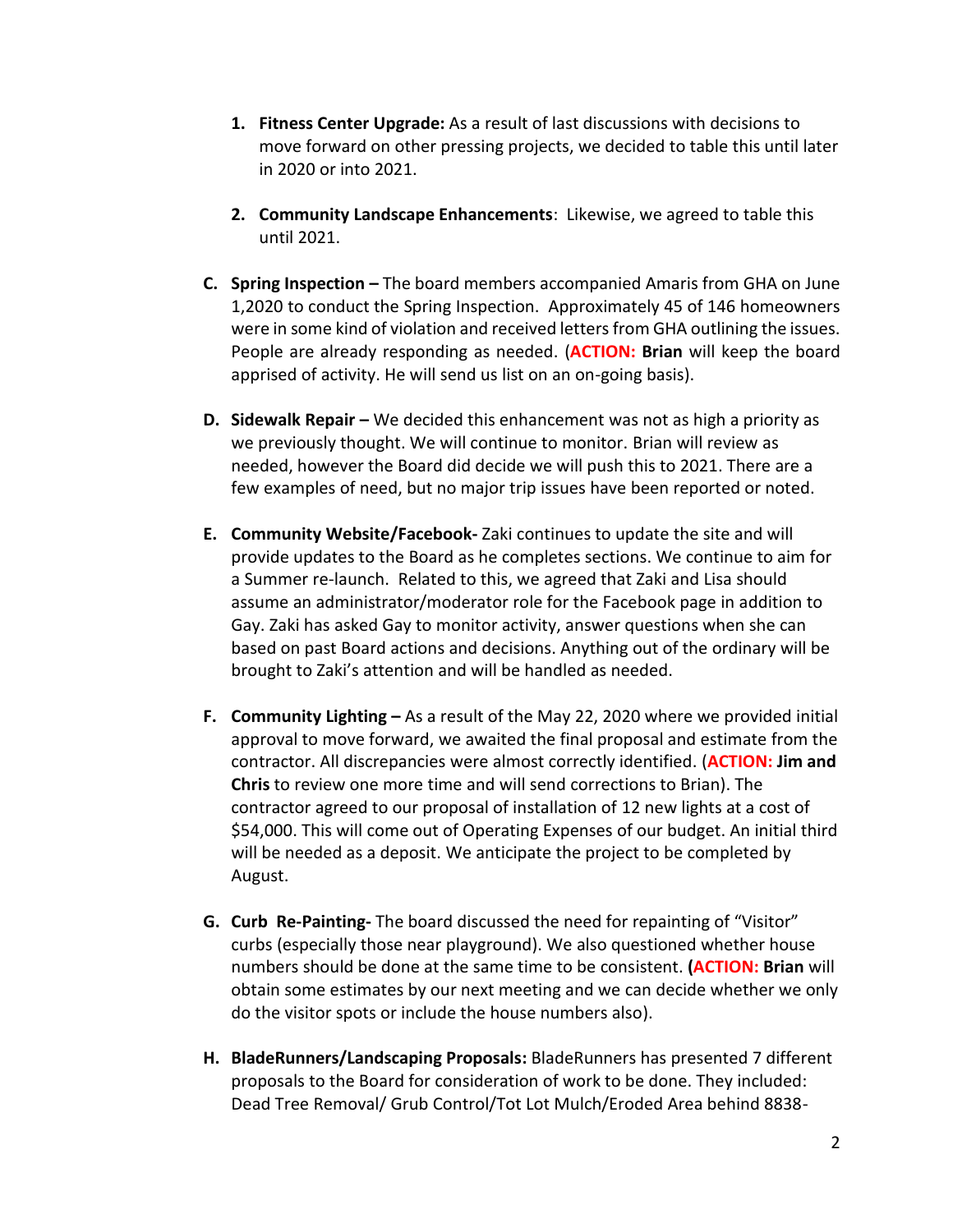- **1. Fitness Center Upgrade:** As a result of last discussions with decisions to move forward on other pressing projects, we decided to table this until later in 2020 or into 2021.
- **2. Community Landscape Enhancements**: Likewise, we agreed to table this until 2021.
- **C. Spring Inspection –** The board members accompanied Amaris from GHA on June 1,2020 to conduct the Spring Inspection. Approximately 45 of 146 homeowners were in some kind of violation and received letters from GHA outlining the issues. People are already responding as needed. (**ACTION: Brian** will keep the board apprised of activity. He will send us list on an on-going basis).
- **D. Sidewalk Repair –** We decided this enhancement was not as high a priority as we previously thought. We will continue to monitor. Brian will review as needed, however the Board did decide we will push this to 2021. There are a few examples of need, but no major trip issues have been reported or noted.
- **E. Community Website/Facebook-** Zaki continues to update the site and will provide updates to the Board as he completes sections. We continue to aim for a Summer re-launch. Related to this, we agreed that Zaki and Lisa should assume an administrator/moderator role for the Facebook page in addition to Gay. Zaki has asked Gay to monitor activity, answer questions when she can based on past Board actions and decisions. Anything out of the ordinary will be brought to Zaki's attention and will be handled as needed.
- **F. Community Lighting –** As a result of the May 22, 2020 where we provided initial approval to move forward, we awaited the final proposal and estimate from the contractor. All discrepancies were almost correctly identified. (**ACTION: Jim and Chris** to review one more time and will send corrections to Brian). The contractor agreed to our proposal of installation of 12 new lights at a cost of \$54,000. This will come out of Operating Expenses of our budget. An initial third will be needed as a deposit. We anticipate the project to be completed by August.
- **G. Curb Re-Painting-** The board discussed the need for repainting of "Visitor" curbs (especially those near playground). We also questioned whether house numbers should be done at the same time to be consistent. **(ACTION: Brian** will obtain some estimates by our next meeting and we can decide whether we only do the visitor spots or include the house numbers also).
- **H. BladeRunners/Landscaping Proposals:** BladeRunners has presented 7 different proposals to the Board for consideration of work to be done. They included: Dead Tree Removal/ Grub Control/Tot Lot Mulch/Eroded Area behind 8838-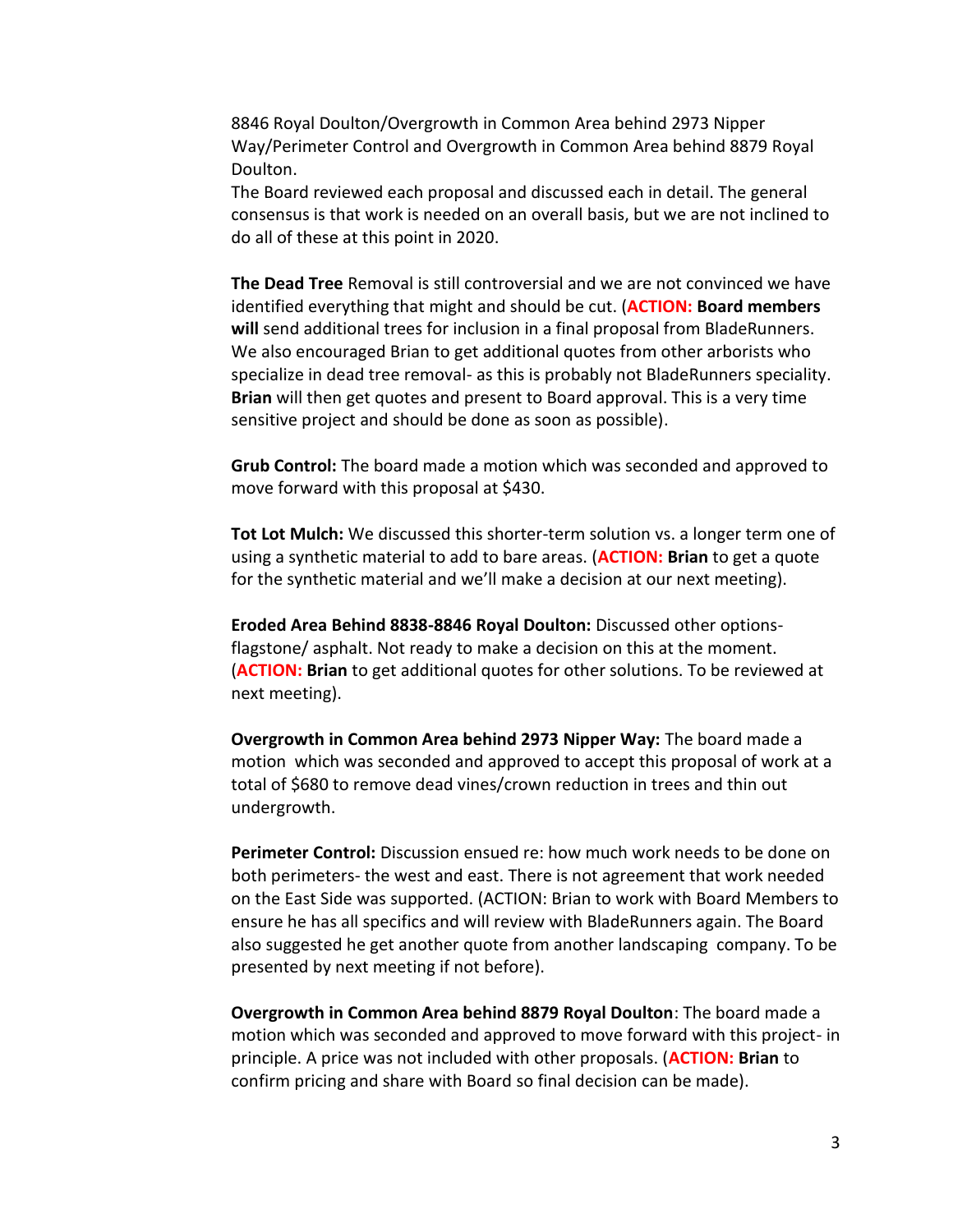8846 Royal Doulton/Overgrowth in Common Area behind 2973 Nipper Way/Perimeter Control and Overgrowth in Common Area behind 8879 Royal Doulton.

The Board reviewed each proposal and discussed each in detail. The general consensus is that work is needed on an overall basis, but we are not inclined to do all of these at this point in 2020.

**The Dead Tree** Removal is still controversial and we are not convinced we have identified everything that might and should be cut. (**ACTION: Board members will** send additional trees for inclusion in a final proposal from BladeRunners. We also encouraged Brian to get additional quotes from other arborists who specialize in dead tree removal- as this is probably not BladeRunners speciality. **Brian** will then get quotes and present to Board approval. This is a very time sensitive project and should be done as soon as possible).

**Grub Control:** The board made a motion which was seconded and approved to move forward with this proposal at \$430.

**Tot Lot Mulch:** We discussed this shorter-term solution vs. a longer term one of using a synthetic material to add to bare areas. (**ACTION: Brian** to get a quote for the synthetic material and we'll make a decision at our next meeting).

**Eroded Area Behind 8838-8846 Royal Doulton:** Discussed other optionsflagstone/ asphalt. Not ready to make a decision on this at the moment. (**ACTION: Brian** to get additional quotes for other solutions. To be reviewed at next meeting).

**Overgrowth in Common Area behind 2973 Nipper Way:** The board made a motion which was seconded and approved to accept this proposal of work at a total of \$680 to remove dead vines/crown reduction in trees and thin out undergrowth.

**Perimeter Control:** Discussion ensued re: how much work needs to be done on both perimeters- the west and east. There is not agreement that work needed on the East Side was supported. (ACTION: Brian to work with Board Members to ensure he has all specifics and will review with BladeRunners again. The Board also suggested he get another quote from another landscaping company. To be presented by next meeting if not before).

**Overgrowth in Common Area behind 8879 Royal Doulton**: The board made a motion which was seconded and approved to move forward with this project- in principle. A price was not included with other proposals. (**ACTION: Brian** to confirm pricing and share with Board so final decision can be made).